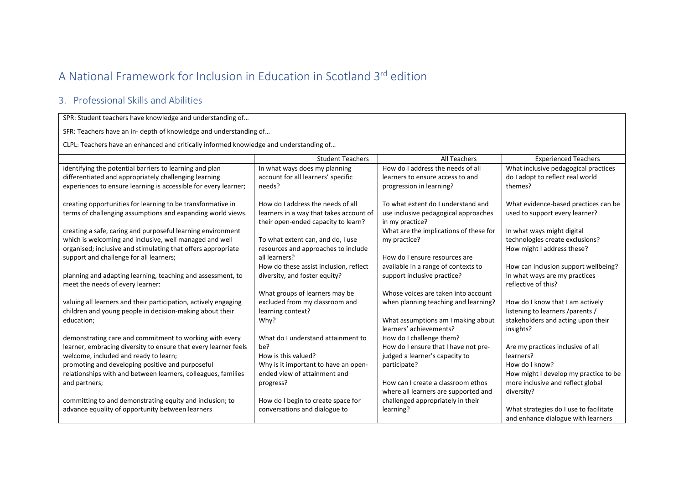## A National Framework for Inclusion in Education in Scotland 3rd edition

## 3. Professional Skills and Abilities

SPR: Student teachers have knowledge and understanding of…

SFR: Teachers have an in- depth of knowledge and understanding of…

CLPL: Teachers have an enhanced and critically informed knowledge and understanding of…

|                                                                                                 | <b>Student Teachers</b>                                          | All Teachers                           | <b>Experienced Teachers</b>                          |
|-------------------------------------------------------------------------------------------------|------------------------------------------------------------------|----------------------------------------|------------------------------------------------------|
| identifying the potential barriers to learning and plan                                         | In what ways does my planning                                    | How do I address the needs of all      | What inclusive pedagogical practices                 |
| differentiated and appropriately challenging learning                                           | account for all learners' specific                               | learners to ensure access to and       | do I adopt to reflect real world                     |
| experiences to ensure learning is accessible for every learner;                                 | needs?                                                           | progression in learning?               | themes?                                              |
|                                                                                                 |                                                                  |                                        |                                                      |
| creating opportunities for learning to be transformative in                                     | How do I address the needs of all                                | To what extent do I understand and     | What evidence-based practices can be                 |
| terms of challenging assumptions and expanding world views.                                     | learners in a way that takes account of                          | use inclusive pedagogical approaches   | used to support every learner?                       |
|                                                                                                 | their open-ended capacity to learn?                              | in my practice?                        |                                                      |
| creating a safe, caring and purposeful learning environment                                     |                                                                  | What are the implications of these for | In what ways might digital                           |
| which is welcoming and inclusive, well managed and well                                         | To what extent can, and do, I use                                | my practice?                           | technologies create exclusions?                      |
| organised; inclusive and stimulating that offers appropriate                                    | resources and approaches to include<br>all learners?             | How do I ensure resources are          | How might I address these?                           |
| support and challenge for all learners;                                                         |                                                                  |                                        |                                                      |
|                                                                                                 | How do these assist inclusion, reflect                           | available in a range of contexts to    | How can inclusion support wellbeing?                 |
| planning and adapting learning, teaching and assessment, to<br>meet the needs of every learner: | diversity, and foster equity?                                    | support inclusive practice?            | In what ways are my practices<br>reflective of this? |
|                                                                                                 |                                                                  | Whose voices are taken into account    |                                                      |
| valuing all learners and their participation, actively engaging                                 | What groups of learners may be<br>excluded from my classroom and | when planning teaching and learning?   | How do I know that I am actively                     |
| children and young people in decision-making about their                                        | learning context?                                                |                                        | listening to learners /parents /                     |
| education;                                                                                      | Why?                                                             | What assumptions am I making about     | stakeholders and acting upon their                   |
|                                                                                                 |                                                                  | learners' achievements?                | insights?                                            |
| demonstrating care and commitment to working with every                                         | What do I understand attainment to                               | How do I challenge them?               |                                                      |
| learner, embracing diversity to ensure that every learner feels                                 | be?                                                              | How do I ensure that I have not pre-   | Are my practices inclusive of all                    |
| welcome, included and ready to learn;                                                           | How is this valued?                                              | judged a learner's capacity to         | learners?                                            |
| promoting and developing positive and purposeful                                                | Why is it important to have an open-                             | participate?                           | How do I know?                                       |
| relationships with and between learners, colleagues, families                                   | ended view of attainment and                                     |                                        | How might I develop my practice to be                |
| and partners;                                                                                   | progress?                                                        | How can I create a classroom ethos     | more inclusive and reflect global                    |
|                                                                                                 |                                                                  | where all learners are supported and   | diversity?                                           |
| committing to and demonstrating equity and inclusion; to                                        | How do I begin to create space for                               | challenged appropriately in their      |                                                      |
| advance equality of opportunity between learners                                                | conversations and dialogue to                                    | learning?                              | What strategies do I use to facilitate               |
|                                                                                                 |                                                                  |                                        | and enhance dialogue with learners                   |